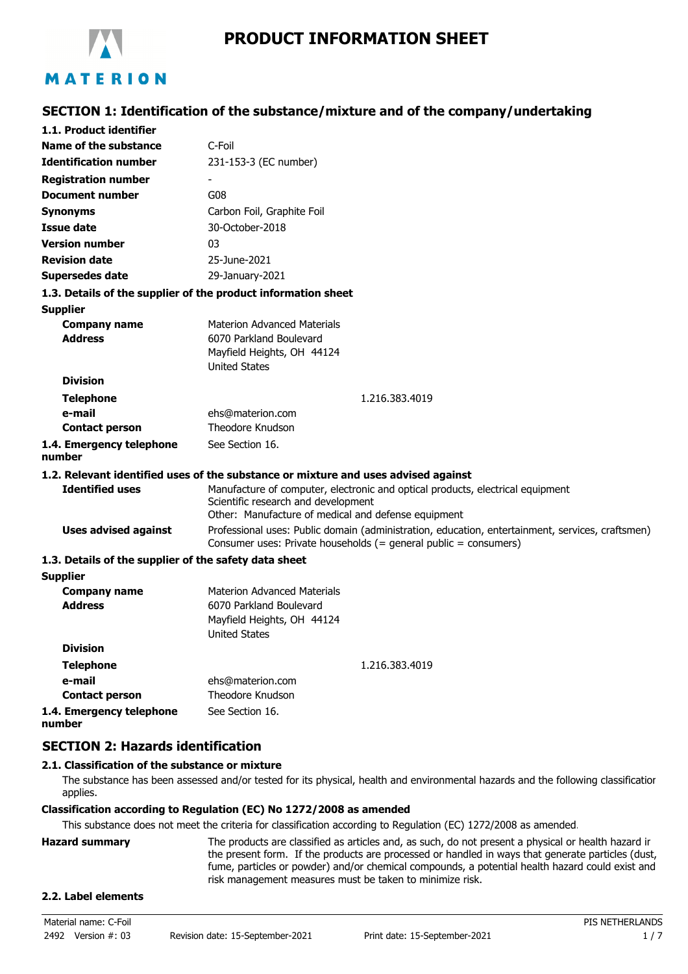

**SECTION 1: Identification of the substance/mixture and of the company/undertaking**

| 1.1. Product identifier                               |                                                                                                                                                                              |  |  |
|-------------------------------------------------------|------------------------------------------------------------------------------------------------------------------------------------------------------------------------------|--|--|
| Name of the substance                                 | C-Foil                                                                                                                                                                       |  |  |
| <b>Identification number</b>                          | 231-153-3 (EC number)                                                                                                                                                        |  |  |
| <b>Registration number</b>                            |                                                                                                                                                                              |  |  |
| <b>Document number</b>                                | G08                                                                                                                                                                          |  |  |
| <b>Synonyms</b>                                       | Carbon Foil, Graphite Foil                                                                                                                                                   |  |  |
| <b>Issue date</b>                                     | 30-October-2018                                                                                                                                                              |  |  |
| <b>Version number</b>                                 | 03                                                                                                                                                                           |  |  |
| <b>Revision date</b>                                  | 25-June-2021                                                                                                                                                                 |  |  |
| <b>Supersedes date</b>                                | 29-January-2021                                                                                                                                                              |  |  |
|                                                       | 1.3. Details of the supplier of the product information sheet                                                                                                                |  |  |
| <b>Supplier</b>                                       |                                                                                                                                                                              |  |  |
| <b>Company name</b>                                   | <b>Materion Advanced Materials</b>                                                                                                                                           |  |  |
| <b>Address</b>                                        | 6070 Parkland Boulevard                                                                                                                                                      |  |  |
|                                                       | Mayfield Heights, OH 44124                                                                                                                                                   |  |  |
|                                                       | <b>United States</b>                                                                                                                                                         |  |  |
| <b>Division</b>                                       |                                                                                                                                                                              |  |  |
| <b>Telephone</b>                                      | 1.216.383.4019                                                                                                                                                               |  |  |
| e-mail                                                | ehs@materion.com<br>Theodore Knudson                                                                                                                                         |  |  |
| <b>Contact person</b>                                 |                                                                                                                                                                              |  |  |
| 1.4. Emergency telephone<br>number                    | See Section 16.                                                                                                                                                              |  |  |
|                                                       | 1.2. Relevant identified uses of the substance or mixture and uses advised against                                                                                           |  |  |
| <b>Identified uses</b>                                | Manufacture of computer, electronic and optical products, electrical equipment<br>Scientific research and development<br>Other: Manufacture of medical and defense equipment |  |  |
| <b>Uses advised against</b>                           | Professional uses: Public domain (administration, education, entertainment, services, craftsmen)<br>Consumer uses: Private households (= general public = consumers)         |  |  |
| 1.3. Details of the supplier of the safety data sheet |                                                                                                                                                                              |  |  |
| <b>Supplier</b>                                       |                                                                                                                                                                              |  |  |
| <b>Company name</b>                                   | <b>Materion Advanced Materials</b>                                                                                                                                           |  |  |
| <b>Address</b>                                        | 6070 Parkland Boulevard                                                                                                                                                      |  |  |
|                                                       | Mayfield Heights, OH 44124<br><b>United States</b>                                                                                                                           |  |  |
| <b>Division</b>                                       |                                                                                                                                                                              |  |  |
| <b>Telephone</b>                                      | 1.216.383.4019                                                                                                                                                               |  |  |
| e-mail                                                | ehs@materion.com                                                                                                                                                             |  |  |
| <b>Contact person</b>                                 | Theodore Knudson                                                                                                                                                             |  |  |
| 1.4. Emergency telephone                              | See Section 16.                                                                                                                                                              |  |  |
| number                                                |                                                                                                                                                                              |  |  |

# **SECTION 2: Hazards identification**

# **2.1. Classification of the substance or mixture**

The substance has been assessed and/or tested for its physical, health and environmental hazards and the following classification applies.

### **Classification according to Regulation (EC) No 1272/2008 as amended**

This substance does not meet the criteria for classification according to Regulation (EC) 1272/2008 as amended.

| Hazard summarv | The products are classified as articles and, as such, do not present a physical or health hazard ir |
|----------------|-----------------------------------------------------------------------------------------------------|
|                | the present form. If the products are processed or handled in ways that generate particles (dust,   |
|                | fume, particles or powder) and/or chemical compounds, a potential health hazard could exist and     |
|                | risk management measures must be taken to minimize risk.                                            |

#### **2.2. Label elements**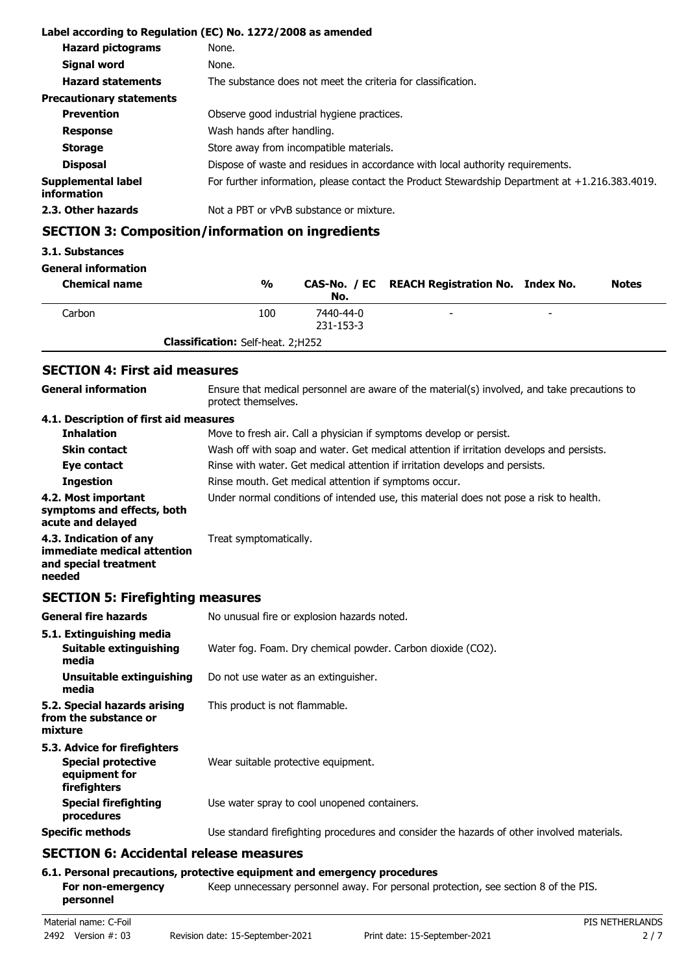|                                   | Label according to Regulation (EC) No. 1272/2008 as amended                                       |  |  |
|-----------------------------------|---------------------------------------------------------------------------------------------------|--|--|
| <b>Hazard pictograms</b>          | None.                                                                                             |  |  |
| <b>Signal word</b>                | None.                                                                                             |  |  |
| <b>Hazard statements</b>          | The substance does not meet the criteria for classification.                                      |  |  |
| <b>Precautionary statements</b>   |                                                                                                   |  |  |
| <b>Prevention</b>                 | Observe good industrial hygiene practices.                                                        |  |  |
| <b>Response</b>                   | Wash hands after handling.                                                                        |  |  |
| <b>Storage</b>                    | Store away from incompatible materials.                                                           |  |  |
| <b>Disposal</b>                   | Dispose of waste and residues in accordance with local authority requirements.                    |  |  |
| Supplemental label<br>information | For further information, please contact the Product Stewardship Department at $+1.216.383.4019$ . |  |  |
| 2.3. Other hazards                | Not a PBT or vPvB substance or mixture.                                                           |  |  |

# **SECTION 3: Composition/information on ingredients**

#### **3.1. Substances**

#### **General information**

| <b>Chemical name</b> | $\frac{0}{0}$                            | No.                    | CAS-No. / EC REACH Registration No. Index No. |                          | <b>Notes</b> |
|----------------------|------------------------------------------|------------------------|-----------------------------------------------|--------------------------|--------------|
| Carbon               | 100                                      | 7440-44-0<br>231-153-3 | $\overline{\phantom{0}}$                      | $\overline{\phantom{a}}$ |              |
|                      | <b>Classification:</b> Self-heat. 2;H252 |                        |                                               |                          |              |

# **SECTION 4: First aid measures**

| <b>General information</b>                                                               | Ensure that medical personnel are aware of the material(s) involved, and take precautions to<br>protect themselves. |  |  |
|------------------------------------------------------------------------------------------|---------------------------------------------------------------------------------------------------------------------|--|--|
| 4.1. Description of first aid measures                                                   |                                                                                                                     |  |  |
| <b>Inhalation</b>                                                                        | Move to fresh air. Call a physician if symptoms develop or persist.                                                 |  |  |
| <b>Skin contact</b>                                                                      | Wash off with soap and water. Get medical attention if irritation develops and persists.                            |  |  |
| Eye contact                                                                              | Rinse with water. Get medical attention if irritation develops and persists.                                        |  |  |
| <b>Ingestion</b>                                                                         | Rinse mouth. Get medical attention if symptoms occur.                                                               |  |  |
| 4.2. Most important<br>symptoms and effects, both<br>acute and delayed                   | Under normal conditions of intended use, this material does not pose a risk to health.                              |  |  |
| 4.3. Indication of any<br>immediate medical attention<br>and special treatment<br>needed | Treat symptomatically.                                                                                              |  |  |

# **SECTION 5: Firefighting measures**

| <b>General fire hazards</b>                                                                | No unusual fire or explosion hazards noted.                                                |  |  |
|--------------------------------------------------------------------------------------------|--------------------------------------------------------------------------------------------|--|--|
| 5.1. Extinguishing media<br>Suitable extinguishing<br>media                                | Water fog. Foam. Dry chemical powder. Carbon dioxide (CO2).                                |  |  |
| Unsuitable extinguishing<br>media                                                          | Do not use water as an extinguisher.                                                       |  |  |
| 5.2. Special hazards arising<br>from the substance or<br>mixture                           | This product is not flammable.                                                             |  |  |
| 5.3. Advice for firefighters<br><b>Special protective</b><br>equipment for<br>firefighters | Wear suitable protective equipment.                                                        |  |  |
| <b>Special firefighting</b><br>procedures                                                  | Use water spray to cool unopened containers.                                               |  |  |
| <b>Specific methods</b>                                                                    | Use standard firefighting procedures and consider the hazards of other involved materials. |  |  |
| $CPCTTANC.$ A saidental valence means via                                                  |                                                                                            |  |  |

# **SECTION 6: Accidental release measures**

## **6.1. Personal precautions, protective equipment and emergency procedures**

For non-emergency **Keep unnecessary personnel away. For personal protection, see section 8 of the PIS. personnel**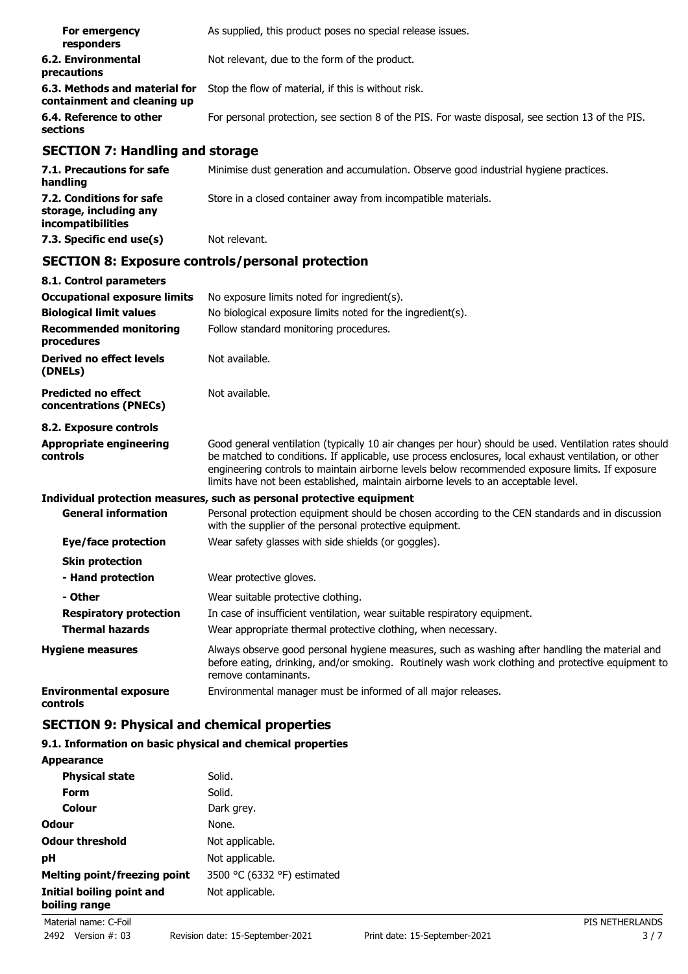| For emergency<br>responders                                  | As supplied, this product poses no special release issues.                                        |
|--------------------------------------------------------------|---------------------------------------------------------------------------------------------------|
| 6.2. Environmental<br>precautions                            | Not relevant, due to the form of the product.                                                     |
| 6.3. Methods and material for<br>containment and cleaning up | Stop the flow of material, if this is without risk.                                               |
| 6.4. Reference to other<br>sections                          | For personal protection, see section 8 of the PIS. For waste disposal, see section 13 of the PIS. |

# **SECTION 7: Handling and storage**

| 7.1. Precautions for safe<br>handling                                   | Minimise dust generation and accumulation. Observe good industrial hygiene practices. |
|-------------------------------------------------------------------------|---------------------------------------------------------------------------------------|
| 7.2. Conditions for safe<br>storage, including any<br>incompatibilities | Store in a closed container away from incompatible materials.                         |
| 7.3. Specific end use(s)                                                | Not relevant.                                                                         |

# **SECTION 8: Exposure controls/personal protection**

| 8.1. Control parameters                              |                                                                                                                                                                                                                                                                                                                                                                                                        |  |  |
|------------------------------------------------------|--------------------------------------------------------------------------------------------------------------------------------------------------------------------------------------------------------------------------------------------------------------------------------------------------------------------------------------------------------------------------------------------------------|--|--|
| <b>Occupational exposure limits</b>                  | No exposure limits noted for ingredient(s).                                                                                                                                                                                                                                                                                                                                                            |  |  |
| <b>Biological limit values</b>                       | No biological exposure limits noted for the ingredient(s).                                                                                                                                                                                                                                                                                                                                             |  |  |
| <b>Recommended monitoring</b><br>procedures          | Follow standard monitoring procedures.                                                                                                                                                                                                                                                                                                                                                                 |  |  |
| Derived no effect levels<br>(DNELs)                  | Not available.                                                                                                                                                                                                                                                                                                                                                                                         |  |  |
| <b>Predicted no effect</b><br>concentrations (PNECs) | Not available.                                                                                                                                                                                                                                                                                                                                                                                         |  |  |
| 8.2. Exposure controls                               |                                                                                                                                                                                                                                                                                                                                                                                                        |  |  |
| <b>Appropriate engineering</b><br>controls           | Good general ventilation (typically 10 air changes per hour) should be used. Ventilation rates should<br>be matched to conditions. If applicable, use process enclosures, local exhaust ventilation, or other<br>engineering controls to maintain airborne levels below recommended exposure limits. If exposure<br>limits have not been established, maintain airborne levels to an acceptable level. |  |  |
|                                                      | Individual protection measures, such as personal protective equipment                                                                                                                                                                                                                                                                                                                                  |  |  |
| <b>General information</b>                           | Personal protection equipment should be chosen according to the CEN standards and in discussion<br>with the supplier of the personal protective equipment.                                                                                                                                                                                                                                             |  |  |
| Eye/face protection                                  | Wear safety glasses with side shields (or goggles).                                                                                                                                                                                                                                                                                                                                                    |  |  |
| <b>Skin protection</b>                               |                                                                                                                                                                                                                                                                                                                                                                                                        |  |  |
| - Hand protection                                    | Wear protective gloves.                                                                                                                                                                                                                                                                                                                                                                                |  |  |
| - Other                                              | Wear suitable protective clothing.                                                                                                                                                                                                                                                                                                                                                                     |  |  |
| <b>Respiratory protection</b>                        | In case of insufficient ventilation, wear suitable respiratory equipment.                                                                                                                                                                                                                                                                                                                              |  |  |
| <b>Thermal hazards</b>                               | Wear appropriate thermal protective clothing, when necessary.                                                                                                                                                                                                                                                                                                                                          |  |  |
| <b>Hygiene measures</b>                              | Always observe good personal hygiene measures, such as washing after handling the material and<br>before eating, drinking, and/or smoking. Routinely wash work clothing and protective equipment to<br>remove contaminants.                                                                                                                                                                            |  |  |
| <b>Environmental exposure</b><br>controls            | Environmental manager must be informed of all major releases.                                                                                                                                                                                                                                                                                                                                          |  |  |

# **SECTION 9: Physical and chemical properties**

# **9.1. Information on basic physical and chemical properties**

| <b>Appearance</b>                          |                             |
|--------------------------------------------|-----------------------------|
| <b>Physical state</b>                      | Solid.                      |
| Form                                       | Solid.                      |
| Colour                                     | Dark grey.                  |
| Odour                                      | None.                       |
| <b>Odour threshold</b>                     | Not applicable.             |
| рH                                         | Not applicable.             |
| Melting point/freezing point               | 3500 °C (6332 °F) estimated |
| Initial boiling point and<br>boiling range | Not applicable.             |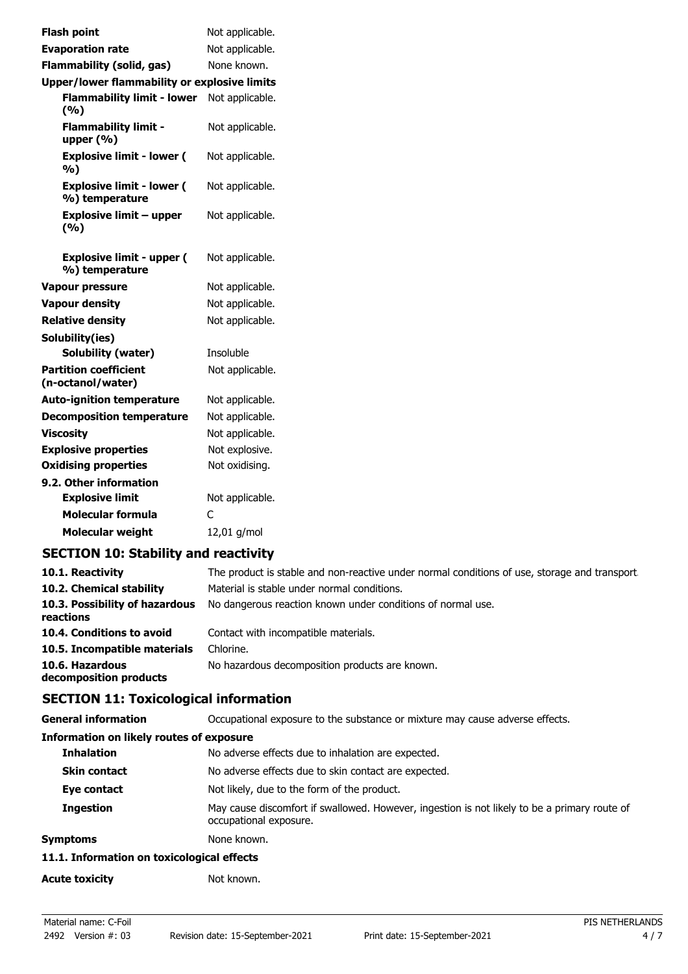| <b>Flash point</b>                                 | Not applicable. |
|----------------------------------------------------|-----------------|
| <b>Evaporation rate</b>                            | Not applicable. |
| <b>Flammability (solid, gas)</b>                   | None known.     |
| Upper/lower flammability or explosive limits       |                 |
| <b>Flammability limit - lower</b><br>(%)           | Not applicable. |
| <b>Flammability limit -</b><br>upper $(% )$        | Not applicable. |
| <b>Explosive limit - lower (</b><br>%)             | Not applicable. |
| <b>Explosive limit - lower (</b><br>%) temperature | Not applicable. |
| <b>Explosive limit - upper</b><br>(%)              | Not applicable. |
| <b>Explosive limit - upper (</b><br>%) temperature | Not applicable. |
| <b>Vapour pressure</b>                             | Not applicable. |
| <b>Vapour density</b>                              | Not applicable. |
| <b>Relative density</b>                            | Not applicable. |
| Solubility(ies)                                    |                 |
| Solubility (water)                                 | Insoluble       |
| <b>Partition coefficient</b><br>(n-octanol/water)  | Not applicable. |
| <b>Auto-ignition temperature</b>                   | Not applicable. |
| <b>Decomposition temperature</b>                   | Not applicable. |
| <b>Viscosity</b>                                   | Not applicable. |
| <b>Explosive properties</b>                        | Not explosive.  |
| <b>Oxidising properties</b>                        | Not oxidising.  |
| 9.2. Other information                             |                 |
| <b>Explosive limit</b>                             | Not applicable. |
| <b>Molecular formula</b>                           | C               |
| <b>Molecular weight</b>                            | 12,01 g/mol     |
|                                                    |                 |

# **SECTION 10: Stability and reactivity**

| 10.1. Reactivity                            | The product is stable and non-reactive under normal conditions of use, storage and transport. |
|---------------------------------------------|-----------------------------------------------------------------------------------------------|
| 10.2. Chemical stability                    | Material is stable under normal conditions.                                                   |
| 10.3. Possibility of hazardous<br>reactions | No dangerous reaction known under conditions of normal use.                                   |
| 10.4. Conditions to avoid                   | Contact with incompatible materials.                                                          |
| 10.5. Incompatible materials                | Chlorine.                                                                                     |
| 10.6. Hazardous<br>decomposition products   | No hazardous decomposition products are known.                                                |

# **SECTION 11: Toxicological information**

| <b>General information</b>                      | Occupational exposure to the substance or mixture may cause adverse effects.                                           |  |
|-------------------------------------------------|------------------------------------------------------------------------------------------------------------------------|--|
| <b>Information on likely routes of exposure</b> |                                                                                                                        |  |
| <b>Inhalation</b>                               | No adverse effects due to inhalation are expected.                                                                     |  |
| <b>Skin contact</b>                             | No adverse effects due to skin contact are expected.                                                                   |  |
| Eye contact                                     | Not likely, due to the form of the product.                                                                            |  |
| <b>Ingestion</b>                                | May cause discomfort if swallowed. However, ingestion is not likely to be a primary route of<br>occupational exposure. |  |
| Symptoms                                        | None known.                                                                                                            |  |
| 11.1. Information on toxicological effects      |                                                                                                                        |  |
| <b>Acute toxicity</b>                           | Not known.                                                                                                             |  |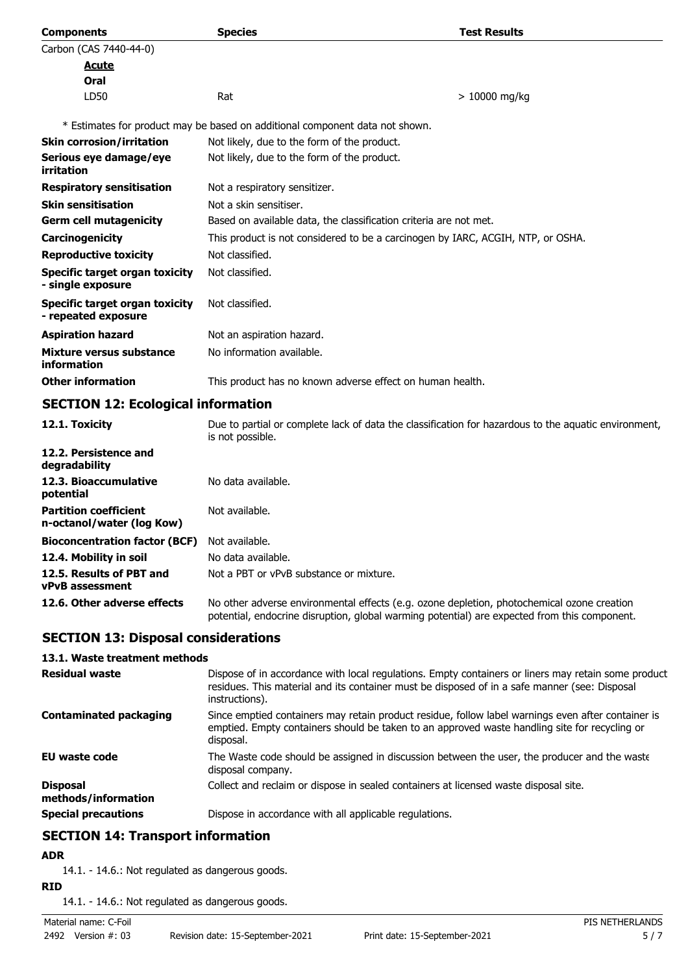| <b>Components</b>                                          | <b>Species</b>                                                                  | <b>Test Results</b> |  |
|------------------------------------------------------------|---------------------------------------------------------------------------------|---------------------|--|
| Carbon (CAS 7440-44-0)                                     |                                                                                 |                     |  |
| Acute                                                      |                                                                                 |                     |  |
| Oral                                                       |                                                                                 |                     |  |
| LD50                                                       | Rat                                                                             | $>10000$ mg/kg      |  |
|                                                            | * Estimates for product may be based on additional component data not shown.    |                     |  |
| <b>Skin corrosion/irritation</b>                           | Not likely, due to the form of the product.                                     |                     |  |
| Serious eye damage/eye<br>irritation                       | Not likely, due to the form of the product.                                     |                     |  |
| <b>Respiratory sensitisation</b>                           | Not a respiratory sensitizer.                                                   |                     |  |
| <b>Skin sensitisation</b>                                  | Not a skin sensitiser.                                                          |                     |  |
| <b>Germ cell mutagenicity</b>                              | Based on available data, the classification criteria are not met.               |                     |  |
| <b>Carcinogenicity</b>                                     | This product is not considered to be a carcinogen by IARC, ACGIH, NTP, or OSHA. |                     |  |
| <b>Reproductive toxicity</b>                               | Not classified.                                                                 |                     |  |
| <b>Specific target organ toxicity</b><br>- single exposure | Not classified.                                                                 |                     |  |
| Specific target organ toxicity<br>- repeated exposure      | Not classified.                                                                 |                     |  |
| <b>Aspiration hazard</b>                                   | Not an aspiration hazard.                                                       |                     |  |
| Mixture versus substance<br>information                    | No information available.                                                       |                     |  |
| <b>Other information</b>                                   | This product has no known adverse effect on human health.                       |                     |  |

# **SECTION 12: Ecological information**

| 12.1. Toxicity                                            | Due to partial or complete lack of data the classification for hazardous to the aquatic environment,<br>is not possible.                                                                   |
|-----------------------------------------------------------|--------------------------------------------------------------------------------------------------------------------------------------------------------------------------------------------|
| 12.2. Persistence and<br>degradability                    |                                                                                                                                                                                            |
| 12.3. Bioaccumulative<br>potential                        | No data available.                                                                                                                                                                         |
| <b>Partition coefficient</b><br>n-octanol/water (log Kow) | Not available.                                                                                                                                                                             |
| <b>Bioconcentration factor (BCF)</b>                      | Not available.                                                                                                                                                                             |
| 12.4. Mobility in soil                                    | No data available.                                                                                                                                                                         |
| 12.5. Results of PBT and<br><b>vPvB</b> assessment        | Not a PBT or vPvB substance or mixture.                                                                                                                                                    |
| 12.6. Other adverse effects                               | No other adverse environmental effects (e.g. ozone depletion, photochemical ozone creation<br>potential, endocrine disruption, global warming potential) are expected from this component. |

# **SECTION 13: Disposal considerations**

## **13.1. Waste treatment methods**

| <b>Residual waste</b>                  | Dispose of in accordance with local regulations. Empty containers or liners may retain some product<br>residues. This material and its container must be disposed of in a safe manner (see: Disposal<br>instructions). |
|----------------------------------------|------------------------------------------------------------------------------------------------------------------------------------------------------------------------------------------------------------------------|
| <b>Contaminated packaging</b>          | Since emptied containers may retain product residue, follow label warnings even after container is<br>emptied. Empty containers should be taken to an approved waste handling site for recycling or<br>disposal.       |
| EU waste code                          | The Waste code should be assigned in discussion between the user, the producer and the waste<br>disposal company.                                                                                                      |
| <b>Disposal</b><br>methods/information | Collect and reclaim or dispose in sealed containers at licensed waste disposal site.                                                                                                                                   |
| <b>Special precautions</b>             | Dispose in accordance with all applicable regulations.                                                                                                                                                                 |

# **SECTION 14: Transport information**

## **ADR**

14.1. - 14.6.: Not regulated as dangerous goods.

**RID**

14.1. - 14.6.: Not regulated as dangerous goods.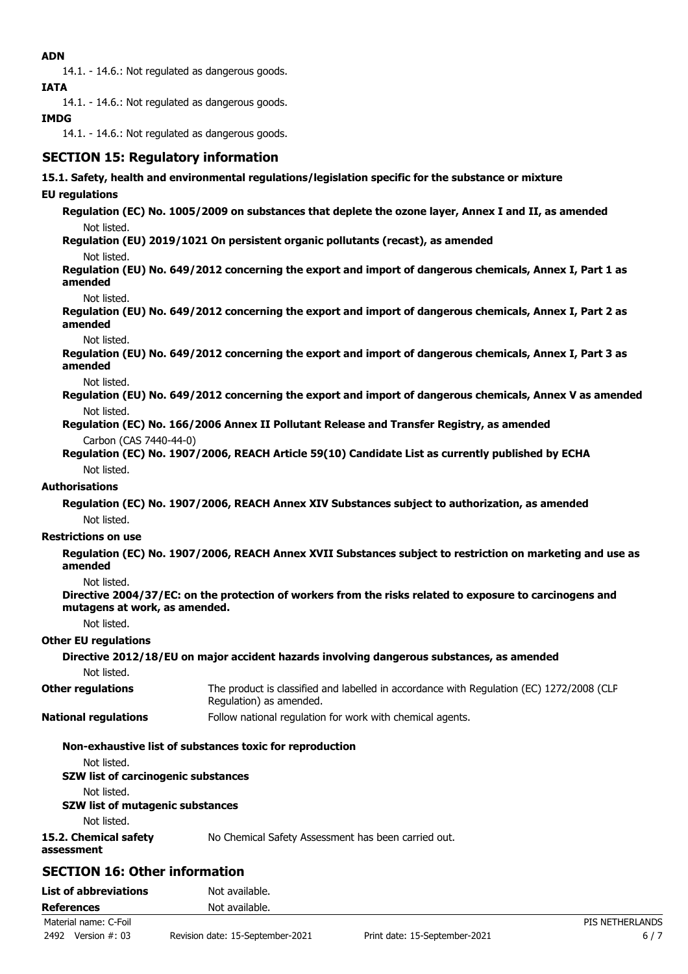## **ADN**

14.1. - 14.6.: Not regulated as dangerous goods.

**IATA**

14.1. - 14.6.: Not regulated as dangerous goods.

# **IMDG**

14.1. - 14.6.: Not regulated as dangerous goods.

# **SECTION 15: Regulatory information**

### **15.1. Safety, health and environmental regulations/legislation specific for the substance or mixture**

## **EU regulations**

**Regulation (EC) No. 1005/2009 on substances that deplete the ozone layer, Annex I and II, as amended** Not listed.

**Regulation (EU) 2019/1021 On persistent organic pollutants (recast), as amended**

Not listed.

**Regulation (EU) No. 649/2012 concerning the export and import of dangerous chemicals, Annex I, Part 1 as amended**

Not listed.

**Regulation (EU) No. 649/2012 concerning the export and import of dangerous chemicals, Annex I, Part 2 as amended**

Not listed.

**Regulation (EU) No. 649/2012 concerning the export and import of dangerous chemicals, Annex I, Part 3 as amended**

Not listed.

**Regulation (EU) No. 649/2012 concerning the export and import of dangerous chemicals, Annex V as amended** Not listed.

**Regulation (EC) No. 166/2006 Annex II Pollutant Release and Transfer Registry, as amended** Carbon (CAS 7440-44-0)

**Regulation (EC) No. 1907/2006, REACH Article 59(10) Candidate List as currently published by ECHA** Not listed.

## **Authorisations**

**Regulation (EC) No. 1907/2006, REACH Annex XIV Substances subject to authorization, as amended** Not listed.

#### **Restrictions on use**

**Regulation (EC) No. 1907/2006, REACH Annex XVII Substances subject to restriction on marketing and use as amended**

Not listed.

**Directive 2004/37/EC: on the protection of workers from the risks related to exposure to carcinogens and mutagens at work, as amended.**

Not listed.

#### **Other EU regulations**

**Directive 2012/18/EU on major accident hazards involving dangerous substances, as amended** Not listed. The product is classified and labelled in accordance with Regulation (EC) 1272/2008 (CLP Regulation) as amended. **Other regulations National regulations** Follow national regulation for work with chemical agents.

#### **Non-exhaustive list of substances toxic for reproduction**

Not listed.

#### **SZW list of carcinogenic substances**

Not listed.

#### **SZW list of mutagenic substances**

Not listed.

**15.2. Chemical safety** No Chemical Safety Assessment has been carried out.

**assessment**

**SECTION 16: Other information**

| <b>List of abbreviations</b> | Not available.                   |                               |                 |
|------------------------------|----------------------------------|-------------------------------|-----------------|
| <b>References</b>            | Not available.                   |                               |                 |
| Material name: C-Foil        |                                  |                               | PIS NETHERLANDS |
| 2492<br>Version #: 03        | Revision date: 15-September-2021 | Print date: 15-September-2021 |                 |